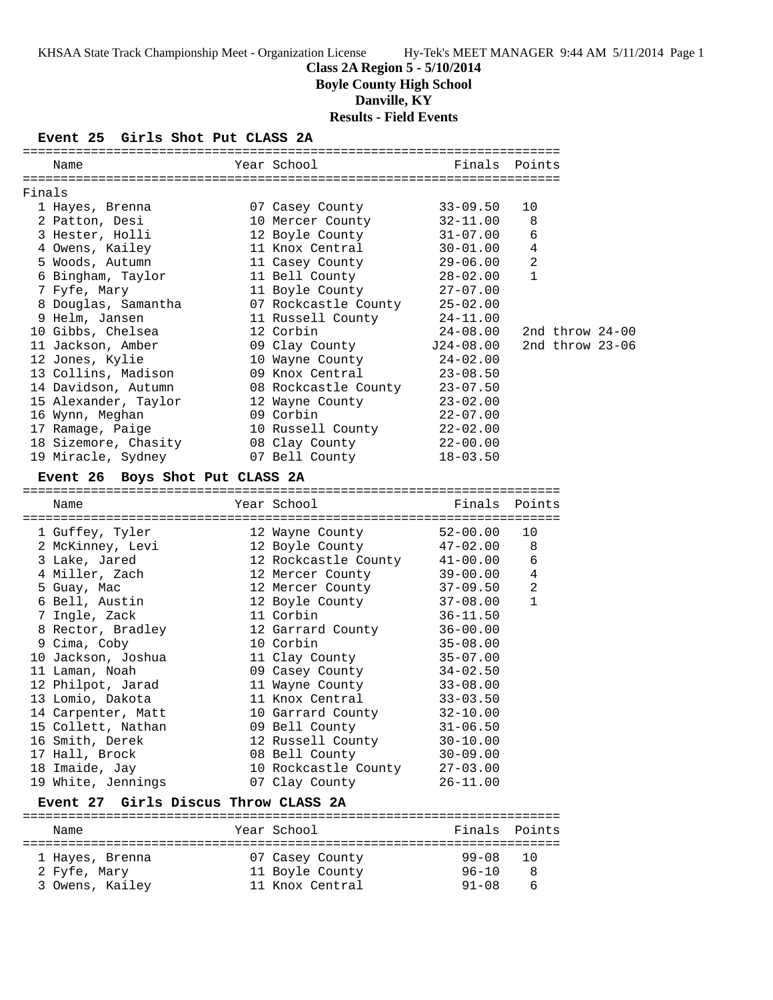## **Class 2A Region 5 - 5/10/2014**

**Boyle County High School**

**Danville, KY**

**Results - Field Events**

#### **Event 25 Girls Shot Put CLASS 2A**

|        | Name                                           | Year School                   | Finals        | Points            |  |
|--------|------------------------------------------------|-------------------------------|---------------|-------------------|--|
| Finals |                                                |                               |               |                   |  |
|        | 1 Hayes, Brenna                                | 07 Casey County               | $33 - 09.50$  | 10                |  |
|        | 2 Patton, Desi                                 | 10 Mercer County              | 32-11.00      | 8                 |  |
|        | 3 Hester, Holli                                | 12 Boyle County               | 31-07.00      | 6                 |  |
|        | 4 Owens, Kailey                                | 11 Knox Central               | $30 - 01.00$  | 4                 |  |
|        | 5 Woods, Autumn                                | 11 Casey County               | $29 - 06.00$  | 2                 |  |
|        | 6 Bingham, Taylor                              | 11 Bell County                | 28-02.00      | $\mathbf{1}$      |  |
|        | 7 Fyfe, Mary                                   | 11 Boyle County               | 27-07.00      |                   |  |
|        | 8 Douglas, Samantha                            | 07 Rockcastle County 25-02.00 |               |                   |  |
|        | 9 Helm, Jansen                                 | 11 Russell County             | $24 - 11.00$  |                   |  |
|        | 10 Gibbs, Chelsea                              | 12 Corbin                     | $24 - 08.00$  | 2nd throw $24-00$ |  |
|        | 11 Jackson, Amber                              | 09 Clay County                | $J24-08.00$   | 2nd throw 23-06   |  |
|        | 12 Jones, Kylie                                | 10 Wayne County               | 24-02.00      |                   |  |
|        | 13 Collins, Madison                            | 09 Knox Central               | $23 - 08.50$  |                   |  |
|        | 14 Davidson, Autumn                            | 08 Rockcastle County          | $23 - 07.50$  |                   |  |
|        | 15 Alexander, Taylor                           | 12 Wayne County               | $23 - 02.00$  |                   |  |
|        | 16 Wynn, Meghan                                | 09 Corbin                     | $22 - 07.00$  |                   |  |
|        | 17 Ramage, Paige                               | 10 Russell County 22-02.00    |               |                   |  |
|        | 18 Sizemore, Chasity                           | 08 Clay County                | $22 - 00.00$  |                   |  |
|        | 19 Miracle, Sydney                             | 07 Bell County                | $18 - 03.50$  |                   |  |
|        | Event 26 Boys Shot Put CLASS 2A                |                               |               |                   |  |
|        |                                                |                               |               |                   |  |
|        | Name                                           | Year School                   | Finals Points |                   |  |
|        | 1 Guffey, Tyler                                | 12 Wayne County               | $52 - 00.00$  | 10                |  |
|        | 2 McKinney, Levi                               | 12 Boyle County               | $47 - 02.00$  | 8                 |  |
|        | 3 Lake, Jared                                  | 12 Rockcastle County 41-00.00 |               | 6                 |  |
|        | 4 Miller, Zach                                 | 12 Mercer County 39-00.00     |               | 4                 |  |
|        | 5 Guay, Mac                                    | 12 Mercer County              | $37 - 09.50$  | 2                 |  |
|        | 6 Bell, Austin                                 | 12 Boyle County               | 37-08.00      | $\mathbf{1}$      |  |
|        | 7 Ingle, Zack                                  | 11 Corbin                     | $36 - 11.50$  |                   |  |
|        | 8 Rector, Bradley                              | 12 Garrard County             | $36 - 00.00$  |                   |  |
|        | 9 Cima, Coby                                   | 10 Corbin                     | $35 - 08.00$  |                   |  |
|        | 10 Jackson, Joshua                             | 11 Clay County 35-07.00       |               |                   |  |
|        | 11 Laman, Noah                                 | 09 Casey County               | $34 - 02.50$  |                   |  |
|        | 12 Philpot, Jarad                              | 11 Wayne County               | $33 - 08.00$  |                   |  |
|        | 13 Lomio, Dakota                               | 11 Knox Central               | $33 - 03.50$  |                   |  |
|        | 14 Carpenter, Matt                             | 10 Garrard County             | $32 - 10.00$  |                   |  |
|        | 15 Collett, Nathan                             | 09 Bell County                | $31 - 06.50$  |                   |  |
|        | 16 Smith, Derek                                | 12 Russell County             | $30 - 10.00$  |                   |  |
|        | 17 Hall, Brock                                 | 08 Bell County                | $30 - 09.00$  |                   |  |
|        | 18 Imaide, Jay                                 | 10 Rockcastle County          | $27 - 03.00$  |                   |  |
|        | 19 White, Jennings                             | 07 Clay County                | $26 - 11.00$  |                   |  |
|        | Girls Discus Throw CLASS 2A<br><b>Event 27</b> |                               |               |                   |  |

======================================================================= Name The Year School The Finals Points ======================================================================= 1 Hayes, Brenna 07 Casey County 99-08 10 2 Fyfe, Mary 11 Boyle County 96-10 8 3 Owens, Kailey 11 Knox Central 91-08 6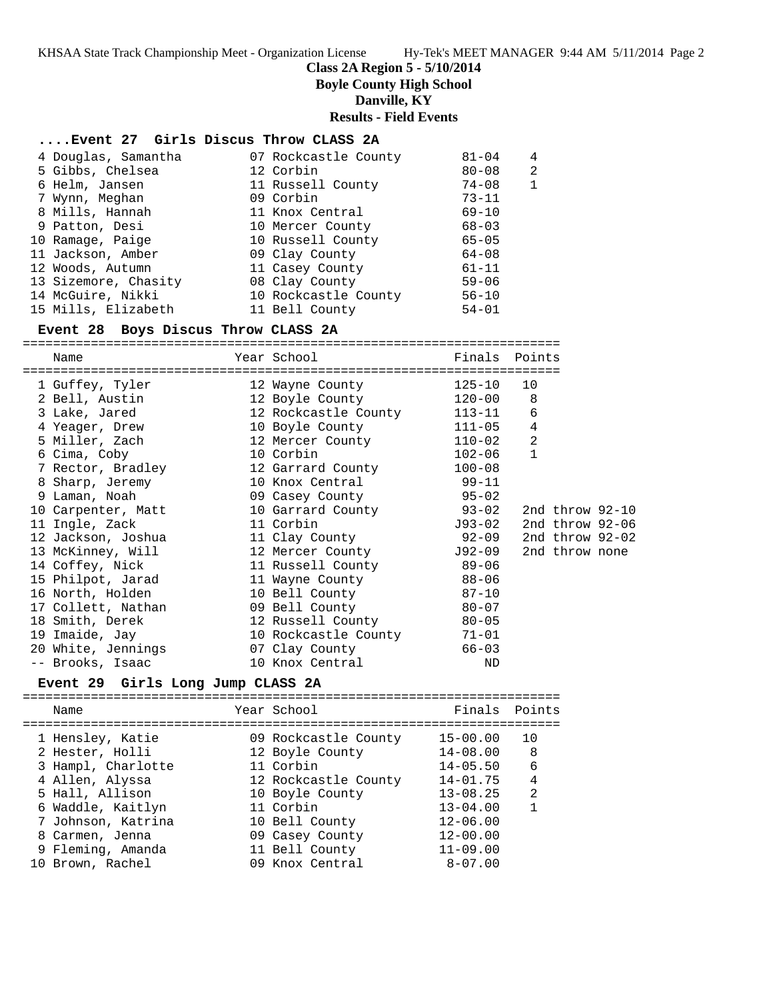#### **Class 2A Region 5 - 5/10/2014**

**Boyle County High School**

**Danville, KY**

**Results - Field Events**

#### **....Event 27 Girls Discus Throw CLASS 2A**

| 4 Douglas, Samantha  | 07 Rockcastle County | $81 - 04$ | 4 |
|----------------------|----------------------|-----------|---|
| 5 Gibbs, Chelsea     | 12 Corbin            | 80-08     | 2 |
| 6 Helm, Jansen       | 11 Russell County    | $74 - 08$ |   |
| 7 Wynn, Meghan       | 09 Corbin            | $73 - 11$ |   |
| 8 Mills, Hannah      | 11 Knox Central      | $69 - 10$ |   |
| 9 Patton, Desi       | 10 Mercer County     | $68 - 03$ |   |
| 10 Ramage, Paige     | 10 Russell County    | $65 - 05$ |   |
| 11 Jackson, Amber    | 09 Clay County       | $64 - 08$ |   |
| 12 Woods, Autumn     | 11 Casey County      | $61 - 11$ |   |
| 13 Sizemore, Chasity | 08 Clay County       | $59 - 06$ |   |
| 14 McGuire, Nikki    | 10 Rockcastle County | $56 - 10$ |   |
| 15 Mills, Elizabeth  | 11 Bell County       | $54 - 01$ |   |

#### **Event 28 Boys Discus Throw CLASS 2A**

=======================================================================

| Name                                                                 | Year School and the School  | Finals     | Points         |                   |
|----------------------------------------------------------------------|-----------------------------|------------|----------------|-------------------|
| ---------------------<br>1 Guffey, Tyler 12 Wayne County 125-10      | =================           |            | 10             |                   |
|                                                                      |                             |            | 8              |                   |
| 3 Lake, Jared                                                        | 12 Rockcastle County 113-11 |            | $\epsilon$     |                   |
| 4 Yeager, Drew                                                       | 10 Boyle County 111-05      |            | $\,4$          |                   |
| 5 Miller, Zach                 12 Mercer County               110-02 |                             |            | $\overline{a}$ |                   |
| 6 Cima, Coby                                                         | 10 Corbin                   | $102 - 06$ | $\mathbf{1}$   |                   |
| 7 Rector, Bradley 12 Garrard County 100-08                           |                             |            |                |                   |
| 8 Sharp, Jeremy                                                      | 10 Knox Central 99-11       |            |                |                   |
| 9 Laman, Noah                                                        | 09 Casey County 55-02       |            |                |                   |
| 10 Carpenter, Matt                                                   | 10 Garrard County 93-02     |            |                | 2nd throw $92-10$ |
| 11 Ingle, Zack                                                       | 11 Corbin                   | J93-02     |                | 2nd throw 92-06   |
|                                                                      |                             | $92 - 09$  |                | 2nd throw $92-02$ |
| 13 McKinney, Will                                                    | 12 Mercer County 592-09     |            |                | 2nd throw none    |
|                                                                      |                             |            |                |                   |
| 15 Philpot, Jarad                                                    | 11 Wayne County             | 88-06      |                |                   |
| 16 North, Holden                                                     | 10 Bell County              | $87 - 10$  |                |                   |
| 17 Collett, Nathan 69 Bell County 60-07                              |                             |            |                |                   |
| 18 Smith, Derek 12 Russell County 80-05                              |                             |            |                |                   |
| 19 Imaide, Jay                                                       | 10 Rockcastle County 71-01  |            |                |                   |
| 20 White, Jennings 66-03                                             |                             |            |                |                   |
| -- Brooks, Isaac                                                     | 10 Knox Central             | <b>ND</b>  |                |                   |

#### **Event 29 Girls Long Jump CLASS 2A**

======================================================================= Name The School Team School (Finals Points ======================================================================= 1 Hensley, Katie 09 Rockcastle County 15-00.00 10 2 Hester, Holli 12 Boyle County 14-08.00 8 3 Hampl, Charlotte 11 Corbin 14-05.50 6 4 Allen, Alyssa 12 Rockcastle County 14-01.75 4 5 Hall, Allison 10 Boyle County 13-08.25 2 6 Waddle, Kaitlyn 11 Corbin 13-04.00 1 7 Johnson, Katrina 10 Bell County 12-06.00 8 Carmen, Jenna 09 Casey County 12-00.00 9 Fleming, Amanda 11 Bell County 11-09.00 10 Brown, Rachel 09 Knox Central 8-07.00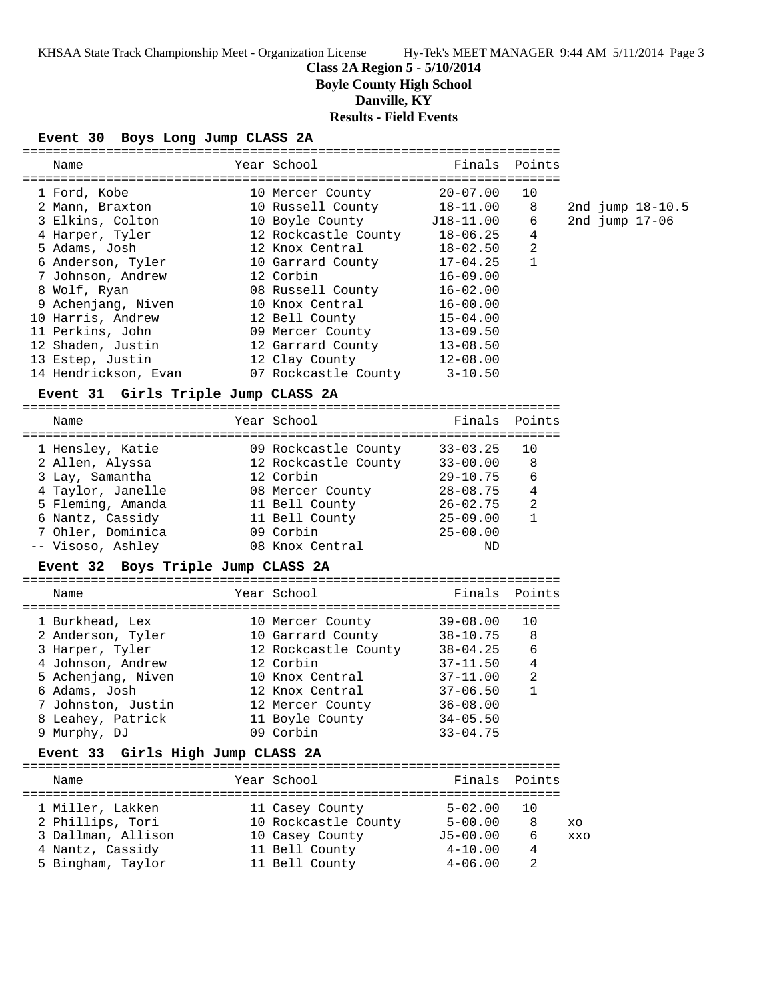# **Class 2A Region 5 - 5/10/2014**

**Boyle County High School**

**Danville, KY**

**Results - Field Events**

## **Event 30 Boys Long Jump CLASS 2A**

| Name                                  | Year School                        | Finals                     | Points            |     |                  |  |
|---------------------------------------|------------------------------------|----------------------------|-------------------|-----|------------------|--|
|                                       |                                    |                            |                   |     |                  |  |
| 1 Ford, Kobe                          | 10 Mercer County                   | $20 - 07.00$               | 10                |     |                  |  |
| 2 Mann, Braxton                       | 10 Russell County                  | $18 - 11.00$               | 8                 |     | 2nd jump 18-10.5 |  |
| 3 Elkins, Colton                      | 10 Boyle County                    | $J18 - 11.00$              | 6                 |     | 2nd jump 17-06   |  |
| 4 Harper, Tyler                       | 12 Rockcastle County 18-06.25      |                            | 4                 |     |                  |  |
| 5 Adams, Josh                         | 12 Knox Central                    | 18-02.50                   | 2                 |     |                  |  |
| 6 Anderson, Tyler                     | 10 Garrard County                  | 17-04.25                   | $\mathbf{1}$      |     |                  |  |
| 7 Johnson, Andrew                     | 12 Corbin                          | $16 - 09.00$               |                   |     |                  |  |
| 8 Wolf, Ryan                          | 08 Russell County                  | $16 - 02.00$               |                   |     |                  |  |
| 9 Achenjang, Niven                    | 10 Knox Central                    | $16 - 00.00$               |                   |     |                  |  |
| 10 Harris, Andrew                     | 12 Bell County                     | $15 - 04.00$               |                   |     |                  |  |
|                                       |                                    |                            |                   |     |                  |  |
| 11 Perkins, John                      | 09 Mercer County                   | 13-09.50                   |                   |     |                  |  |
| 12 Shaden, Justin                     | 12 Garrard County 13-08.50         |                            |                   |     |                  |  |
| 13 Estep, Justin                      | 12 Clay County                     | 12-08.00                   |                   |     |                  |  |
| 14 Hendrickson, Evan                  | 07 Rockcastle County 3-10.50       |                            |                   |     |                  |  |
| Event 31 Girls Triple Jump CLASS 2A   |                                    |                            |                   |     |                  |  |
|                                       |                                    |                            |                   |     |                  |  |
| Name                                  | Year School                        | Finals                     | Points            |     |                  |  |
|                                       |                                    |                            |                   |     |                  |  |
| 1 Hensley, Katie                      | 09 Rockcastle County               | $33 - 03.25$               | 10                |     |                  |  |
| 2 Allen, Alyssa                       | 12 Rockcastle County 33-00.00      |                            | 8                 |     |                  |  |
| 3 Lay, Samantha                       | 12 Corbin                          | $29 - 10.75$               | 6                 |     |                  |  |
|                                       |                                    |                            |                   |     |                  |  |
| 4 Taylor, Janelle                     | 08 Mercer County 28-08.75          |                            | 4                 |     |                  |  |
| 5 Fleming, Amanda                     | 11 Bell County                     | 26-02.75                   | 2<br>$\mathbf{1}$ |     |                  |  |
|                                       |                                    |                            |                   |     |                  |  |
| 6 Nantz, Cassidy                      | 11 Bell County                     | 25-09.00                   |                   |     |                  |  |
| 7 Ohler, Dominica                     | 09 Corbin                          | $25 - 00.00$               |                   |     |                  |  |
| -- Visoso, Ashley                     | 08 Knox Central                    | ND                         |                   |     |                  |  |
|                                       |                                    |                            |                   |     |                  |  |
| Event 32 Boys Triple Jump CLASS 2A    |                                    |                            |                   |     |                  |  |
| Name                                  | Year School                        | Finals                     | Points            |     |                  |  |
|                                       |                                    |                            |                   |     |                  |  |
| 1 Burkhead, Lex                       | 10 Mercer County                   | $39 - 08.00$               | 10                |     |                  |  |
| 2 Anderson, Tyler                     | 10 Garrard County 38-10.75         |                            | 8                 |     |                  |  |
| 3 Harper, Tyler                       | 12 Rockcastle County 38-04.25      |                            | 6                 |     |                  |  |
| 4 Johnson, Andrew                     | 12 Corbin                          | 37-11.50                   | $\overline{4}$    |     |                  |  |
| 5 Achenjang, Niven                    |                                    |                            | 2                 |     |                  |  |
| 6 Adams, Josh                         | 10 Knox Central<br>12 Knox Central | $37 - 11.00$<br>37-06.50   | $\mathbf{1}$      |     |                  |  |
|                                       |                                    | $36 - 08.00$               |                   |     |                  |  |
| 7 Johnston, Justin                    | 12 Mercer County                   |                            |                   |     |                  |  |
| 8 Leahey, Patrick                     | 11 Boyle County                    | $34 - 05.50$               |                   |     |                  |  |
| 9 Murphy, DJ                          | 09 Corbin                          | $33 - 04.75$               |                   |     |                  |  |
| Event 33 Girls High Jump CLASS 2A     |                                    |                            |                   |     |                  |  |
| Name                                  |                                    |                            |                   |     |                  |  |
|                                       | Year School                        | Finals                     | Points            |     |                  |  |
| 1 Miller, Lakken                      | 11 Casey County                    | $5 - 02.00$                | 10                |     |                  |  |
|                                       |                                    | $5 - 00.00$                | 8                 | XO  |                  |  |
| 2 Phillips, Tori                      | 10 Rockcastle County               |                            | 6                 | XXO |                  |  |
| 3 Dallman, Allison                    | 10 Casey County                    | $J5 - 00.00$               | 4                 |     |                  |  |
| 4 Nantz, Cassidy<br>5 Bingham, Taylor | 11 Bell County<br>11 Bell County   | $4 - 10.00$<br>$4 - 06.00$ | 2                 |     |                  |  |